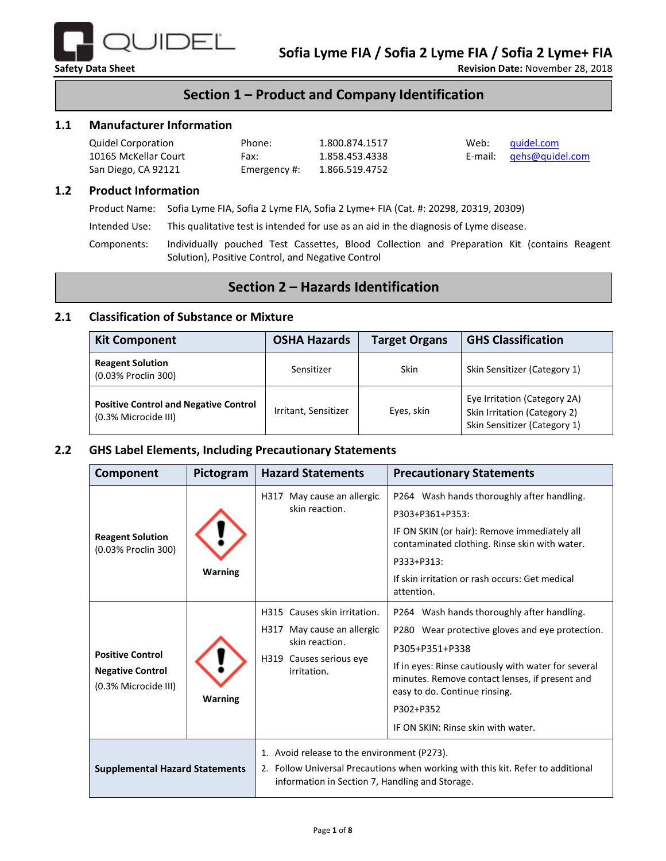

## **Section 1 – Product and Company Identification**

#### **1.1 Manufacturer Information**

| <b>Quidel Corporation</b> | Phone:       | 1.800.874.1517 | Web: | quidel.com              |
|---------------------------|--------------|----------------|------|-------------------------|
| 10165 McKellar Court      | Fax:         | 1.858.453.4338 |      | E-mail: gehs@quidel.com |
| San Diego, CA 92121       | Emergency #: | 1.866.519.4752 |      |                         |

#### **1.2 Product Information**

Product Name: Sofia Lyme FIA, Sofia 2 Lyme FIA, Sofia 2 Lyme+ FIA (Cat. #: 20298, 20319, 20309)

Intended Use: This qualitative test is intended for use as an aid in the diagnosis of Lyme disease.

Components: Individually pouched Test Cassettes, Blood Collection and Preparation Kit (contains Reagent Solution), Positive Control, and Negative Control

## **Section 2 – Hazards Identification**

#### **2.1 Classification of Substance or Mixture**

| <b>Kit Component</b>                                                 | <b>OSHA Hazards</b>  | <b>Target Organs</b> | <b>GHS Classification</b>                                                                    |
|----------------------------------------------------------------------|----------------------|----------------------|----------------------------------------------------------------------------------------------|
| <b>Reagent Solution</b><br>(0.03% Proclin 300)                       | Sensitizer           | <b>Skin</b>          | Skin Sensitizer (Category 1)                                                                 |
| <b>Positive Control and Negative Control</b><br>(0.3% Microcide III) | Irritant, Sensitizer |                      | Eye Irritation (Category 2A)<br>Skin Irritation (Category 2)<br>Skin Sensitizer (Category 1) |

#### **2.2 GHS Label Elements, Including Precautionary Statements**

| Component                                                                  | Pictogram      | <b>Hazard Statements</b>                                                                                                                                                          | <b>Precautionary Statements</b>                                                                                                                                                                                                                                                                              |  |
|----------------------------------------------------------------------------|----------------|-----------------------------------------------------------------------------------------------------------------------------------------------------------------------------------|--------------------------------------------------------------------------------------------------------------------------------------------------------------------------------------------------------------------------------------------------------------------------------------------------------------|--|
| <b>Reagent Solution</b><br>(0.03% Proclin 300)                             | Warning        | May cause an allergic<br>H317<br>skin reaction.                                                                                                                                   | P264 Wash hands thoroughly after handling.<br>P303+P361+P353:<br>IF ON SKIN (or hair): Remove immediately all<br>contaminated clothing. Rinse skin with water.<br>P333+P313:<br>If skin irritation or rash occurs: Get medical<br>attention.                                                                 |  |
| <b>Positive Control</b><br><b>Negative Control</b><br>(0.3% Microcide III) | <b>Warning</b> | H315 Causes skin irritation.<br>May cause an allergic<br>H317<br>skin reaction.<br>H319<br>Causes serious eye<br>irritation.                                                      | P264 Wash hands thoroughly after handling.<br>P280 Wear protective gloves and eye protection.<br>P305+P351+P338<br>If in eyes: Rinse cautiously with water for several<br>minutes. Remove contact lenses, if present and<br>easy to do. Continue rinsing.<br>P302+P352<br>IF ON SKIN: Rinse skin with water. |  |
| <b>Supplemental Hazard Statements</b>                                      |                | 1. Avoid release to the environment (P273).<br>2. Follow Universal Precautions when working with this kit. Refer to additional<br>information in Section 7, Handling and Storage. |                                                                                                                                                                                                                                                                                                              |  |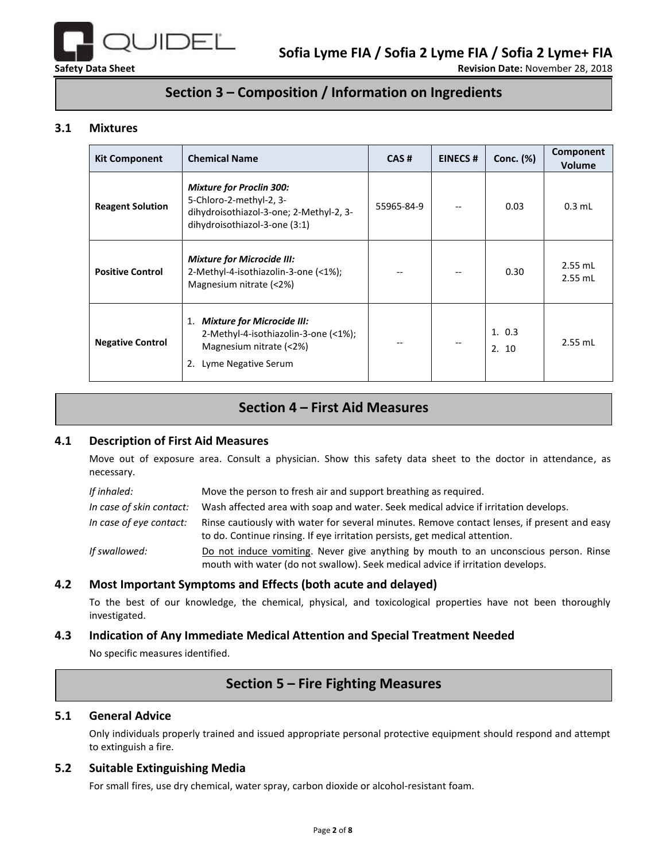

## **Section 3 – Composition / Information on Ingredients**

### **3.1 Mixtures**

| <b>Kit Component</b>    | <b>Chemical Name</b>                                                                                                                    | CAS#       | <b>EINECS#</b> | Conc. (%)     | Component<br><b>Volume</b> |
|-------------------------|-----------------------------------------------------------------------------------------------------------------------------------------|------------|----------------|---------------|----------------------------|
| <b>Reagent Solution</b> | <b>Mixture for Proclin 300:</b><br>5-Chloro-2-methyl-2, 3-<br>dihydroisothiazol-3-one; 2-Methyl-2, 3-<br>dihydroisothiazol-3-one (3:1)  | 55965-84-9 |                | 0.03          | $0.3$ mL                   |
| <b>Positive Control</b> | <b>Mixture for Microcide III:</b><br>2-Methyl-4-isothiazolin-3-one (<1%);<br>Magnesium nitrate (<2%)                                    |            |                | 0.30          | $2.55$ mL<br>$2.55$ mL     |
| <b>Negative Control</b> | <b>Mixture for Microcide III:</b><br>1.<br>2-Methyl-4-isothiazolin-3-one (<1%);<br>Magnesium nitrate (<2%)<br>Lyme Negative Serum<br>2. |            |                | 1.0.3<br>2.10 | $2.55$ mL                  |

# **Section 4 – First Aid Measures**

#### **4.1 Description of First Aid Measures**

Move out of exposure area. Consult a physician. Show this safety data sheet to the doctor in attendance, as necessary.

| If inhaled:              | Move the person to fresh air and support breathing as required.                                                                                                            |
|--------------------------|----------------------------------------------------------------------------------------------------------------------------------------------------------------------------|
| In case of skin contact: | Wash affected area with soap and water. Seek medical advice if irritation develops.                                                                                        |
| In case of eye contact:  | Rinse cautiously with water for several minutes. Remove contact lenses, if present and easy<br>to do. Continue rinsing. If eye irritation persists, get medical attention. |
| If swallowed:            | Do not induce vomiting. Never give anything by mouth to an unconscious person. Rinse<br>mouth with water (do not swallow). Seek medical advice if irritation develops.     |

### **4.2 Most Important Symptoms and Effects (both acute and delayed)**

To the best of our knowledge, the chemical, physical, and toxicological properties have not been thoroughly investigated.

### **4.3 Indication of Any Immediate Medical Attention and Special Treatment Needed**

No specific measures identified.

## **Section 5 – Fire Fighting Measures**

#### **5.1 General Advice**

Only individuals properly trained and issued appropriate personal protective equipment should respond and attempt to extinguish a fire.

#### **5.2 Suitable Extinguishing Media**

For small fires, use dry chemical, water spray, carbon dioxide or alcohol-resistant foam.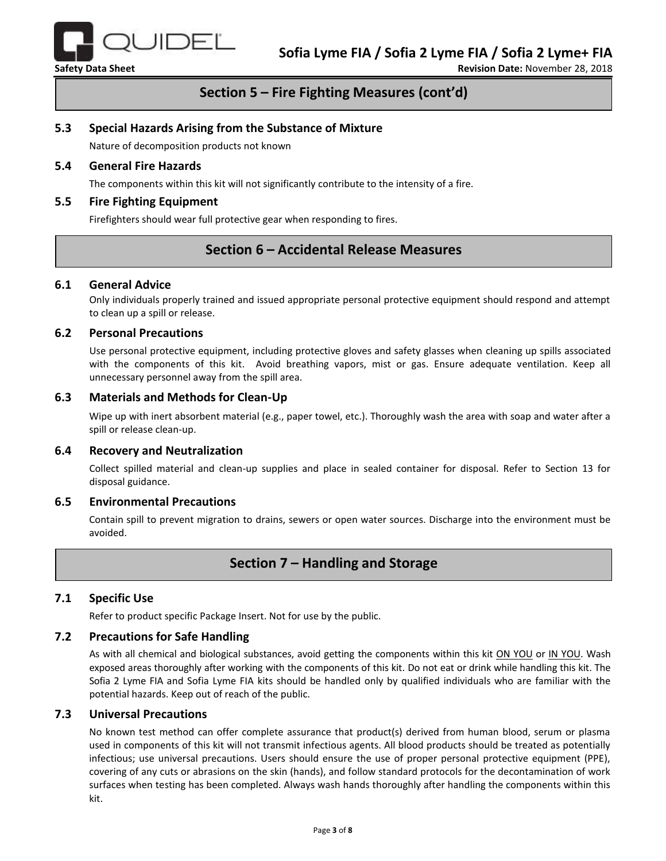

## **Section 5 – Fire Fighting Measures (cont'd)**

#### **5.3 Special Hazards Arising from the Substance of Mixture**

Nature of decomposition products not known

#### **5.4 General Fire Hazards**

The components within this kit will not significantly contribute to the intensity of a fire.

#### **5.5 Fire Fighting Equipment**

Firefighters should wear full protective gear when responding to fires.

## **Section 6 – Accidental Release Measures**

#### **6.1 General Advice**

Only individuals properly trained and issued appropriate personal protective equipment should respond and attempt to clean up a spill or release.

#### **6.2 Personal Precautions**

Use personal protective equipment, including protective gloves and safety glasses when cleaning up spills associated with the components of this kit. Avoid breathing vapors, mist or gas. Ensure adequate ventilation. Keep all unnecessary personnel away from the spill area.

#### **6.3 Materials and Methods for Clean-Up**

Wipe up with inert absorbent material (e.g., paper towel, etc.). Thoroughly wash the area with soap and water after a spill or release clean-up.

#### **6.4 Recovery and Neutralization**

Collect spilled material and clean-up supplies and place in sealed container for disposal. Refer to Section 13 for disposal guidance.

#### **6.5 Environmental Precautions**

Contain spill to prevent migration to drains, sewers or open water sources. Discharge into the environment must be avoided.

## **Section 7 – Handling and Storage**

#### **7.1 Specific Use**

Refer to product specific Package Insert. Not for use by the public.

#### **7.2 Precautions for Safe Handling**

As with all chemical and biological substances, avoid getting the components within this kit ON YOU or IN YOU. Wash exposed areas thoroughly after working with the components of this kit. Do not eat or drink while handling this kit. The Sofia 2 Lyme FIA and Sofia Lyme FIA kits should be handled only by qualified individuals who are familiar with the potential hazards. Keep out of reach of the public.

#### **7.3 Universal Precautions**

No known test method can offer complete assurance that product(s) derived from human blood, serum or plasma used in components of this kit will not transmit infectious agents. All blood products should be treated as potentially infectious; use universal precautions. Users should ensure the use of proper personal protective equipment (PPE), covering of any cuts or abrasions on the skin (hands), and follow standard protocols for the decontamination of work surfaces when testing has been completed. Always wash hands thoroughly after handling the components within this kit.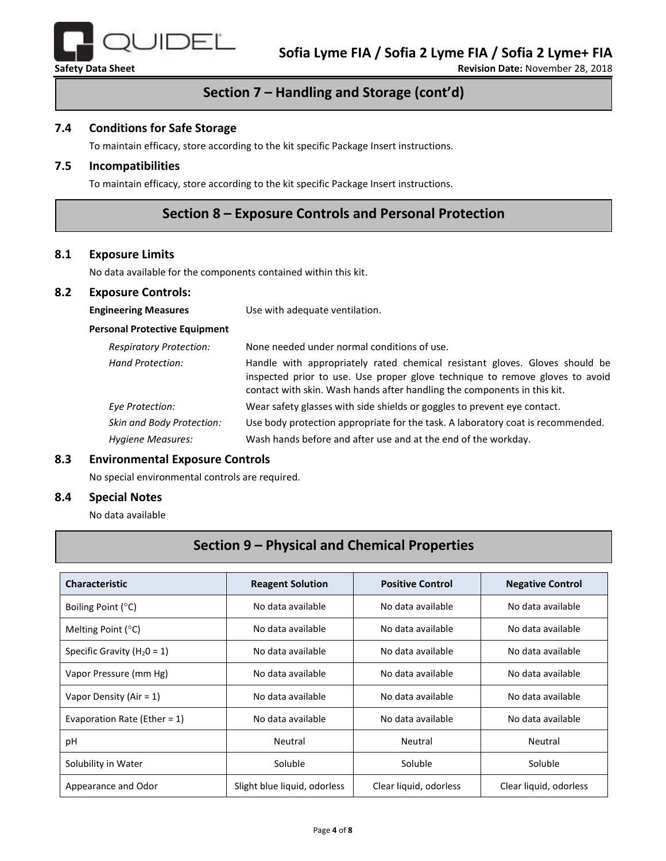

# **Section 7 – Handling and Storage (cont'd)**

#### **7.4 Conditions for Safe Storage**

To maintain efficacy, store according to the kit specific Package Insert instructions.

### **7.5 Incompatibilities**

To maintain efficacy, store according to the kit specific Package Insert instructions.

## **Section 8 – Exposure Controls and Personal Protection**

#### **8.1 Exposure Limits**

No data available for the components contained within this kit.

#### **8.2 Exposure Controls:**

| <b>Engineering Measures</b>          | Use with adequate ventilation.                                                                                                                                                                                                          |  |  |
|--------------------------------------|-----------------------------------------------------------------------------------------------------------------------------------------------------------------------------------------------------------------------------------------|--|--|
| <b>Personal Protective Equipment</b> |                                                                                                                                                                                                                                         |  |  |
| <b>Respiratory Protection:</b>       | None needed under normal conditions of use.                                                                                                                                                                                             |  |  |
| Hand Protection:                     | Handle with appropriately rated chemical resistant gloves. Gloves should be<br>inspected prior to use. Use proper glove technique to remove gloves to avoid<br>contact with skin. Wash hands after handling the components in this kit. |  |  |
| Eye Protection:                      | Wear safety glasses with side shields or goggles to prevent eye contact.                                                                                                                                                                |  |  |
| <b>Skin and Body Protection:</b>     | Use body protection appropriate for the task. A laboratory coat is recommended.                                                                                                                                                         |  |  |
| Hygiene Measures:                    | Wash hands before and after use and at the end of the workday.                                                                                                                                                                          |  |  |

#### **8.3 Environmental Exposure Controls**

No special environmental controls are required.

#### **8.4 Special Notes**

No data available

# **Section 9 – Physical and Chemical Properties**

| <b>Characteristic</b>           | <b>Reagent Solution</b>      | <b>Positive Control</b> | <b>Negative Control</b> |
|---------------------------------|------------------------------|-------------------------|-------------------------|
| Boiling Point (°C)              | No data available            | No data available       | No data available       |
| Melting Point $(°C)$            | No data available            | No data available       | No data available       |
| Specific Gravity ( $H_2O = 1$ ) | No data available            | No data available       | No data available       |
| Vapor Pressure (mm Hg)          | No data available            | No data available       | No data available       |
| Vapor Density (Air = $1$ )      | No data available            | No data available       | No data available       |
| Evaporation Rate (Ether = $1$ ) | No data available            | No data available       | No data available       |
| рH                              | Neutral                      | Neutral                 | Neutral                 |
| Solubility in Water             | Soluble                      | Soluble                 | Soluble                 |
| Appearance and Odor             | Slight blue liquid, odorless | Clear liquid, odorless  | Clear liquid, odorless  |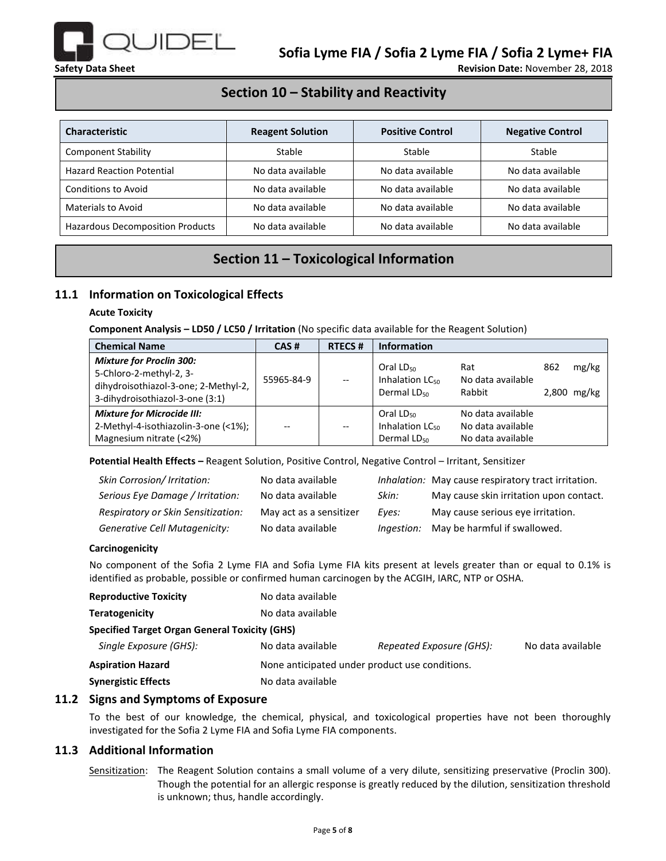

## **Section 10 – Stability and Reactivity**

| <b>Characteristic</b>                   | <b>Reagent Solution</b> | <b>Positive Control</b> | <b>Negative Control</b> |
|-----------------------------------------|-------------------------|-------------------------|-------------------------|
| <b>Component Stability</b>              | Stable                  | Stable                  | Stable                  |
| <b>Hazard Reaction Potential</b>        | No data available       | No data available       | No data available       |
| <b>Conditions to Avoid</b>              | No data available       | No data available       | No data available       |
| <b>Materials to Avoid</b>               | No data available       | No data available       | No data available       |
| <b>Hazardous Decomposition Products</b> | No data available       | No data available       | No data available       |

# **Section 11 – Toxicological Information**

## **11.1 Information on Toxicological Effects**

#### **Acute Toxicity**

**Component Analysis – LD50 / LC50 / Irritation** (No specific data available for the Reagent Solution)

| <b>Chemical Name</b>                                                                                                                  | CAS#       | <b>RTECS#</b> | <b>Information</b>                                                       |                                                             |     |                        |
|---------------------------------------------------------------------------------------------------------------------------------------|------------|---------------|--------------------------------------------------------------------------|-------------------------------------------------------------|-----|------------------------|
| <b>Mixture for Proclin 300:</b><br>5-Chloro-2-methyl-2, 3-<br>dihydroisothiazol-3-one; 2-Methyl-2,<br>3-dihydroisothiazol-3-one (3:1) | 55965-84-9 |               | Oral $LD_{50}$<br>Inhalation LC <sub>50</sub><br>Dermal LD <sub>50</sub> | Rat<br>No data available<br>Rabbit                          | 862 | mg/kg<br>$2,800$ mg/kg |
| <b>Mixture for Microcide III:</b><br>2-Methyl-4-isothiazolin-3-one (<1%);<br>Magnesium nitrate (<2%)                                  | $-$        |               | Oral $LD_{50}$<br>Inhalation $LC_{50}$<br>Dermal LD <sub>50</sub>        | No data available<br>No data available<br>No data available |     |                        |

**Potential Health Effects –** Reagent Solution, Positive Control, Negative Control – Irritant, Sensitizer

| Skin Corrosion/ Irritation:        | No data available       |                   | Inhalation: May cause respiratory tract irritation. |
|------------------------------------|-------------------------|-------------------|-----------------------------------------------------|
| Serious Eye Damage / Irritation:   | No data available       | Skin:             | May cause skin irritation upon contact.             |
| Respiratory or Skin Sensitization: | May act as a sensitizer | Eves:             | May cause serious eye irritation.                   |
| Generative Cell Mutagenicity:      | No data available       | <i>Ingestion:</i> | May be harmful if swallowed.                        |

#### **Carcinogenicity**

No component of the Sofia 2 Lyme FIA and Sofia Lyme FIA kits present at levels greater than or equal to 0.1% is identified as probable, possible or confirmed human carcinogen by the ACGIH, IARC, NTP or OSHA.

| <b>Reproductive Toxicity</b>                         | No data available                              |                          |                   |
|------------------------------------------------------|------------------------------------------------|--------------------------|-------------------|
| Teratogenicity                                       | No data available                              |                          |                   |
| <b>Specified Target Organ General Toxicity (GHS)</b> |                                                |                          |                   |
| Single Exposure (GHS):                               | No data available                              | Repeated Exposure (GHS): | No data available |
| <b>Aspiration Hazard</b>                             | None anticipated under product use conditions. |                          |                   |
| <b>Synergistic Effects</b>                           | No data available                              |                          |                   |

### **11.2 Signs and Symptoms of Exposure**

To the best of our knowledge, the chemical, physical, and toxicological properties have not been thoroughly investigated for the Sofia 2 Lyme FIA and Sofia Lyme FIA components.

### **11.3 Additional Information**

Sensitization: The Reagent Solution contains a small volume of a very dilute, sensitizing preservative (Proclin 300). Though the potential for an allergic response is greatly reduced by the dilution, sensitization threshold is unknown; thus, handle accordingly.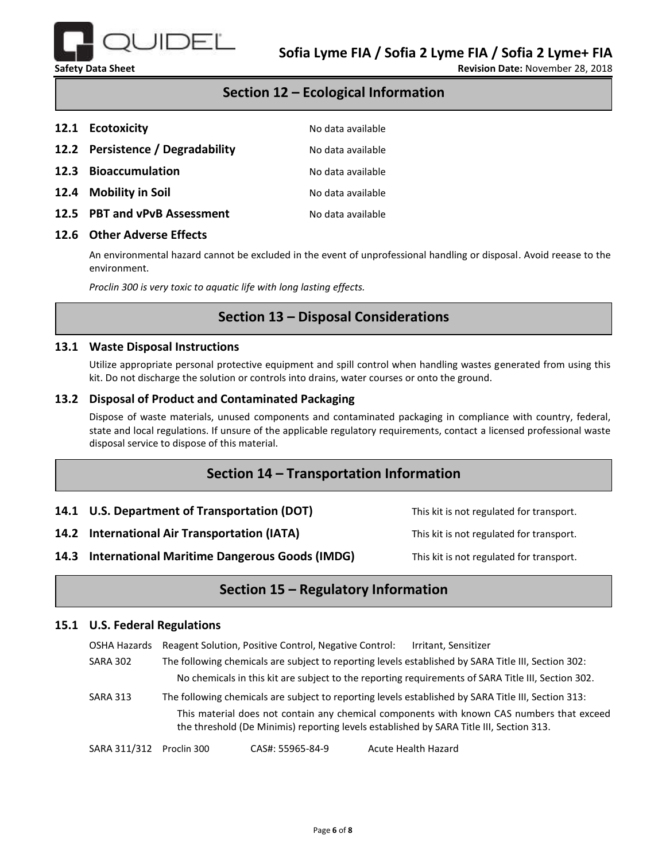

## **Section 12 – Ecological Information**

| 12.1 Ecotoxicity                 | No data available |
|----------------------------------|-------------------|
| 12.2 Persistence / Degradability | No data available |
| 12.3 Bioaccumulation             | No data available |
| 12.4 Mobility in Soil            | No data available |
| 12.5 PBT and vPvB Assessment     | No data available |

#### **12.6 Other Adverse Effects**

An environmental hazard cannot be excluded in the event of unprofessional handling or disposal. Avoid reease to the environment.

*Proclin 300 is very toxic to aquatic life with long lasting effects.*

## **Section 13 – Disposal Considerations**

#### **13.1 Waste Disposal Instructions**

Utilize appropriate personal protective equipment and spill control when handling wastes generated from using this kit. Do not discharge the solution or controls into drains, water courses or onto the ground.

### **13.2 Disposal of Product and Contaminated Packaging**

Dispose of waste materials, unused components and contaminated packaging in compliance with country, federal, state and local regulations. If unsure of the applicable regulatory requirements, contact a licensed professional waste disposal service to dispose of this material.

## **Section 14 – Transportation Information**

**14.1 U.S. Department of Transportation (DOT)** This kit is not regulated for transport.

**14.2 International Air Transportation (IATA)** This kit is not regulated for transport.

**14.3 International Maritime Dangerous Goods (IMDG)** This kit is not regulated for transport.

# **Section 15 – Regulatory Information**

#### **15.1 U.S. Federal Regulations**

OSHA Hazards Reagent Solution, Positive Control, Negative Control: Irritant, Sensitizer

SARA 302 The following chemicals are subject to reporting levels established by SARA Title III, Section 302: No chemicals in this kit are subject to the reporting requirements of SARA Title III, Section 302.

SARA 313 The following chemicals are subject to reporting levels established by SARA Title III, Section 313: This material does not contain any chemical components with known CAS numbers that exceed the threshold (De Minimis) reporting levels established by SARA Title III, Section 313.

SARA 311/312 Proclin 300 CAS#: 55965-84-9 Acute Health Hazard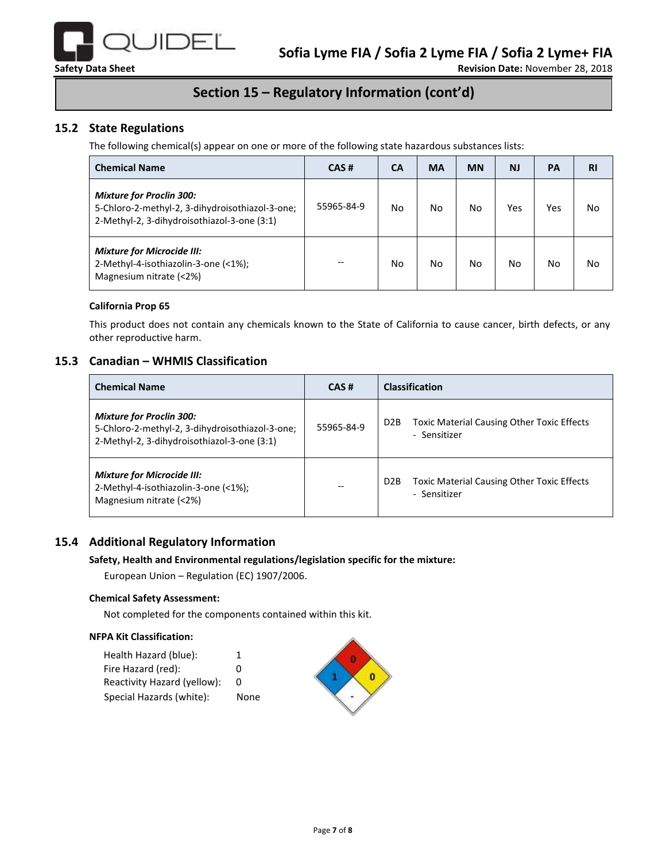

# **Section 15 – Regulatory Information (cont'd)**

## **15.2 State Regulations**

The following chemical(s) appear on one or more of the following state hazardous substances lists:

| <b>Chemical Name</b>                                                                                                              | CAS#       | <b>CA</b> | <b>MA</b> | <b>MN</b> | <b>NJ</b> | PA  | <b>RI</b> |
|-----------------------------------------------------------------------------------------------------------------------------------|------------|-----------|-----------|-----------|-----------|-----|-----------|
| <b>Mixture for Proclin 300:</b><br>5-Chloro-2-methyl-2, 3-dihydroisothiazol-3-one;<br>2-Methyl-2, 3-dihydroisothiazol-3-one (3:1) | 55965-84-9 | No.       | No        | No        | Yes       | Yes | No        |
| <b>Mixture for Microcide III:</b><br>2-Methyl-4-isothiazolin-3-one (<1%);<br>Magnesium nitrate (<2%)                              |            | No        | No        | No        | No        | No  | No        |

#### **California Prop 65**

This product does not contain any chemicals known to the State of California to cause cancer, birth defects, or any other reproductive harm.

#### **15.3 Canadian – WHMIS Classification**

| <b>Chemical Name</b>                                                                                                              | CAS#       | <b>Classification</b>                                                                 |  |  |
|-----------------------------------------------------------------------------------------------------------------------------------|------------|---------------------------------------------------------------------------------------|--|--|
| <b>Mixture for Proclin 300:</b><br>5-Chloro-2-methyl-2, 3-dihydroisothiazol-3-one;<br>2-Methyl-2, 3-dihydroisothiazol-3-one (3:1) | 55965-84-9 | <b>Toxic Material Causing Other Toxic Effects</b><br>D <sub>2</sub> B<br>- Sensitizer |  |  |
| <b>Mixture for Microcide III:</b><br>2-Methyl-4-isothiazolin-3-one (<1%);<br>Magnesium nitrate (<2%)                              | --         | <b>Toxic Material Causing Other Toxic Effects</b><br>D <sub>2</sub> B<br>- Sensitizer |  |  |

### **15.4 Additional Regulatory Information**

#### **Safety, Health and Environmental regulations/legislation specific for the mixture:**

European Union – Regulation (EC) 1907/2006.

#### **Chemical Safety Assessment:**

Not completed for the components contained within this kit.

#### **NFPA Kit Classification:**

| Health Hazard (blue):       |      |  |
|-----------------------------|------|--|
| Fire Hazard (red):          |      |  |
| Reactivity Hazard (yellow): |      |  |
| Special Hazards (white):    | None |  |
|                             |      |  |